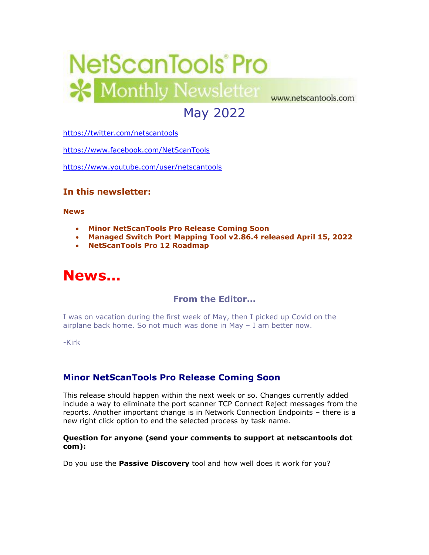

# May 2022

<https://twitter.com/netscantools>

<https://www.facebook.com/NetScanTools>

<https://www.youtube.com/user/netscantools>

### **In this newsletter:**

**News**

- **Minor NetScanTools Pro Release Coming Soon**
- **Managed Switch Port Mapping Tool v2.86.4 released April 15, 2022**
- **NetScanTools Pro 12 Roadmap**

# **News…**

# **From the Editor…**

I was on vacation during the first week of May, then I picked up Covid on the airplane back home. So not much was done in May – I am better now.

-Kirk

# **Minor NetScanTools Pro Release Coming Soon**

This release should happen within the next week or so. Changes currently added include a way to eliminate the port scanner TCP Connect Reject messages from the reports. Another important change is in Network Connection Endpoints – there is a new right click option to end the selected process by task name.

#### **Question for anyone (send your comments to support at netscantools dot com):**

Do you use the **Passive Discovery** tool and how well does it work for you?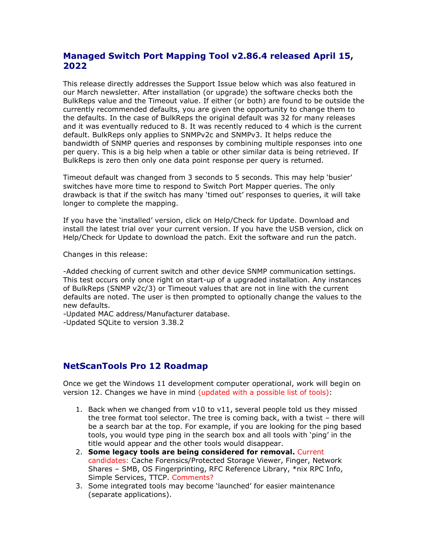# **Managed Switch Port Mapping Tool v2.86.4 released April 15, 2022**

This release directly addresses the Support Issue below which was also featured in our March newsletter. After installation (or upgrade) the software checks both the BulkReps value and the Timeout value. If either (or both) are found to be outside the currently recommended defaults, you are given the opportunity to change them to the defaults. In the case of BulkReps the original default was 32 for many releases and it was eventually reduced to 8. It was recently reduced to 4 which is the current default. BulkReps only applies to SNMPv2c and SNMPv3. It helps reduce the bandwidth of SNMP queries and responses by combining multiple responses into one per query. This is a big help when a table or other similar data is being retrieved. If BulkReps is zero then only one data point response per query is returned.

Timeout default was changed from 3 seconds to 5 seconds. This may help 'busier' switches have more time to respond to Switch Port Mapper queries. The only drawback is that if the switch has many 'timed out' responses to queries, it will take longer to complete the mapping.

If you have the 'installed' version, click on Help/Check for Update. Download and install the latest trial over your current version. If you have the USB version, click on Help/Check for Update to download the patch. Exit the software and run the patch.

Changes in this release:

-Added checking of current switch and other device SNMP communication settings. This test occurs only once right on start-up of a upgraded installation. Any instances of BulkReps (SNMP v2c/3) or Timeout values that are not in line with the current defaults are noted. The user is then prompted to optionally change the values to the new defaults.

-Updated MAC address/Manufacturer database.

-Updated SQLite to version 3.38.2

#### **NetScanTools Pro 12 Roadmap**

Once we get the Windows 11 development computer operational, work will begin on version 12. Changes we have in mind (updated with a possible list of tools):

- 1. Back when we changed from v10 to v11, several people told us they missed the tree format tool selector. The tree is coming back, with a twist – there will be a search bar at the top. For example, if you are looking for the ping based tools, you would type ping in the search box and all tools with 'ping' in the title would appear and the other tools would disappear.
- 2. **Some legacy tools are being considered for removal.** Current candidates: Cache Forensics/Protected Storage Viewer, Finger, Network Shares – SMB, OS Fingerprinting, RFC Reference Library, \*nix RPC Info, Simple Services, TTCP. Comments?
- 3. Some integrated tools may become 'launched' for easier maintenance (separate applications).